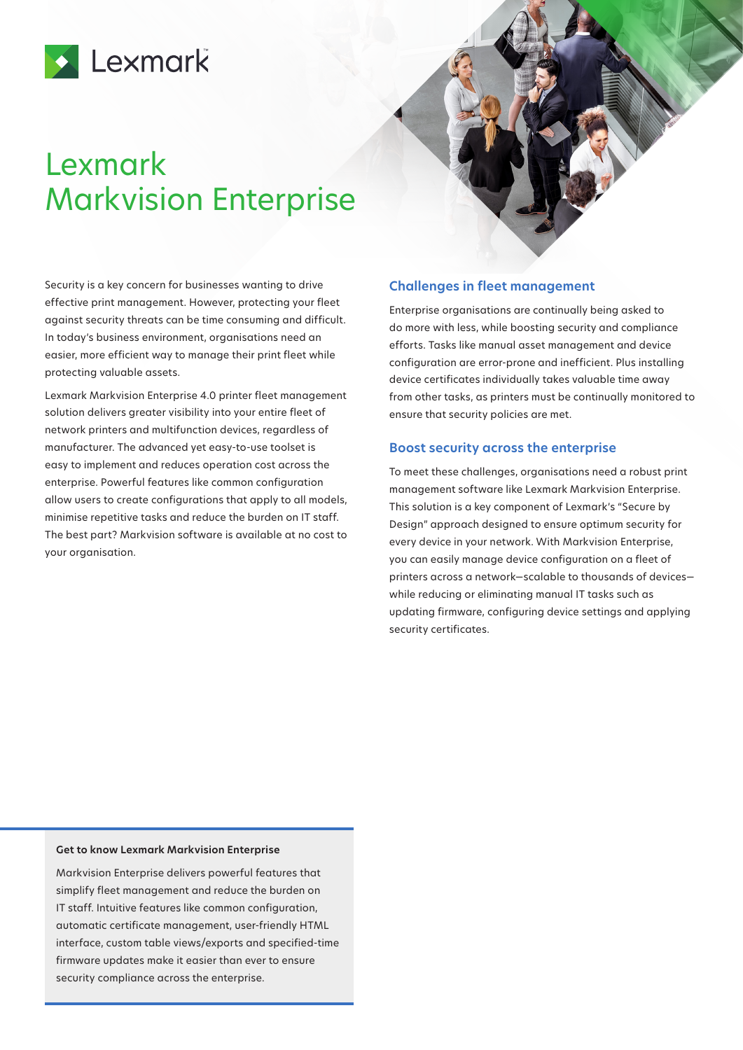

# Lexmark Markvision Enterprise

Security is a key concern for businesses wanting to drive effective print management. However, protecting your fleet against security threats can be time consuming and difficult. In today's business environment, organisations need an easier, more efficient way to manage their print fleet while protecting valuable assets.

Lexmark Markvision Enterprise 4.0 printer fleet management solution delivers greater visibility into your entire fleet of network printers and multifunction devices, regardless of manufacturer. The advanced yet easy-to-use toolset is easy to implement and reduces operation cost across the enterprise. Powerful features like common configuration allow users to create configurations that apply to all models, minimise repetitive tasks and reduce the burden on IT staff. The best part? Markvision software is available at no cost to your organisation.

## **Challenges in fleet management**

Enterprise organisations are continually being asked to do more with less, while boosting security and compliance efforts. Tasks like manual asset management and device configuration are error-prone and inefficient. Plus installing device certificates individually takes valuable time away from other tasks, as printers must be continually monitored to ensure that security policies are met.

## **Boost security across the enterprise**

To meet these challenges, organisations need a robust print management software like Lexmark Markvision Enterprise. This solution is a key component of Lexmark's "Secure by Design" approach designed to ensure optimum security for every device in your network. With Markvision Enterprise, you can easily manage device configuration on a fleet of printers across a network—scalable to thousands of devices while reducing or eliminating manual IT tasks such as updating firmware, configuring device settings and applying security certificates.

#### **Get to know Lexmark Markvision Enterprise**

Markvision Enterprise delivers powerful features that simplify fleet management and reduce the burden on IT staff. Intuitive features like common configuration, automatic certificate management, user-friendly HTML interface, custom table views/exports and specified-time firmware updates make it easier than ever to ensure security compliance across the enterprise.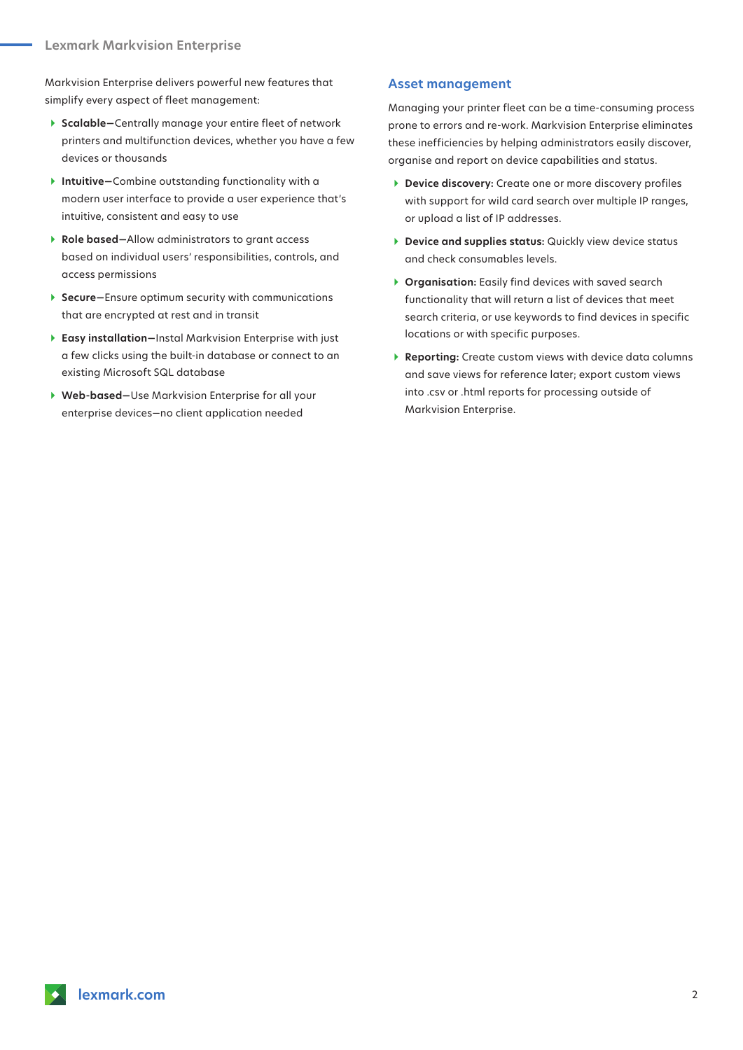Markvision Enterprise delivers powerful new features that simplify every aspect of fleet management:

- } **Scalable—**Centrally manage your entire fleet of network printers and multifunction devices, whether you have a few devices or thousands
- } **Intuitive—**Combine outstanding functionality with a modern user interface to provide a user experience that's intuitive, consistent and easy to use
- } **Role based—**Allow administrators to grant access based on individual users' responsibilities, controls, and access permissions
- **▶ Secure–Ensure optimum security with communications** that are encrypted at rest and in transit
- } **Easy installation—**Instal Markvision Enterprise with just a few clicks using the built-in database or connect to an existing Microsoft SQL database
- } **Web-based—**Use Markvision Enterprise for all your enterprise devices—no client application needed

#### **Asset management**

Managing your printer fleet can be a time-consuming process prone to errors and re-work. Markvision Enterprise eliminates these inefficiencies by helping administrators easily discover, organise and report on device capabilities and status.

- **Device discovery:** Create one or more discovery profiles with support for wild card search over multiple IP ranges, or upload a list of IP addresses.
- **Device and supplies status:** Quickly view device status and check consumables levels.
- **Organisation:** Easily find devices with saved search functionality that will return a list of devices that meet search criteria, or use keywords to find devices in specific locations or with specific purposes.
- } **Reporting:** Create custom views with device data columns and save views for reference later; export custom views into .csv or .html reports for processing outside of Markvision Enterprise.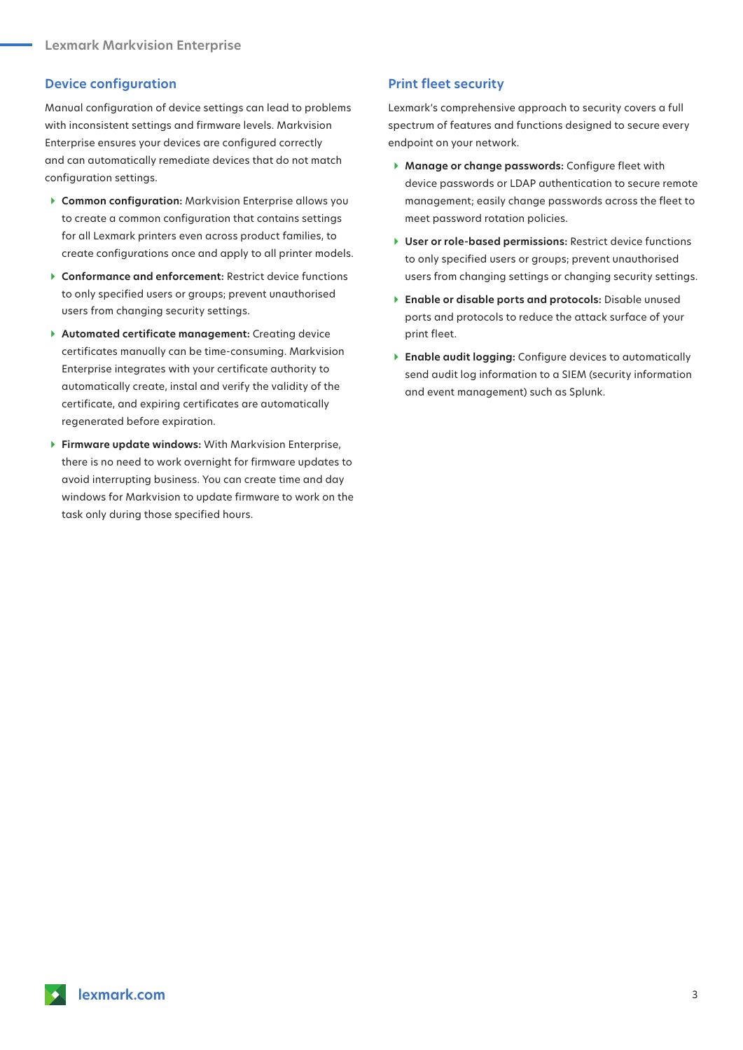## **Device configuration**

Manual configuration of device settings can lead to problems with inconsistent settings and firmware levels. Markvision Enterprise ensures your devices are configured correctly and can automatically remediate devices that do not match configuration settings.

- } **Common configuration:** Markvision Enterprise allows you to create a common configuration that contains settings for all Lexmark printers even across product families, to create configurations once and apply to all printer models.
- **▶ Conformance and enforcement: Restrict device functions** to only specified users or groups; prevent unauthorised users from changing security settings.
- } **Automated certificate management:** Creating device certificates manually can be time-consuming. Markvision Enterprise integrates with your certificate authority to automatically create, instal and verify the validity of the certificate, and expiring certificates are automatically regenerated before expiration.
- } **Firmware update windows:** With Markvision Enterprise, there is no need to work overnight for firmware updates to avoid interrupting business. You can create time and day windows for Markvision to update firmware to work on the task only during those specified hours.

## **Print fleet security**

Lexmark's comprehensive approach to security covers a full spectrum of features and functions designed to secure every endpoint on your network.

- } **Manage or change passwords:** Configure fleet with device passwords or LDAP authentication to secure remote management; easily change passwords across the fleet to meet password rotation policies.
- } **User or role-based permissions:** Restrict device functions to only specified users or groups; prevent unauthorised users from changing settings or changing security settings.
- } **Enable or disable ports and protocols:** Disable unused ports and protocols to reduce the attack surface of your print fleet.
- } **Enable audit logging:** Configure devices to automatically send audit log information to a SIEM (security information and event management) such as Splunk.